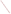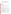# **Technical Factsheet on: TRICHLOROETHYLENE**

[List of Contaminants](http://www.epa.gov/safewater/hfacts.html) 

 As part of the Drinking Water and Health pages, this fact sheet is part of a larger publication: **National Primary Drinking Water Regulations** 

# **Drinking Water Standards**

MCLG: zero MCL: 0.005 mg/L HAL(child): none

## **Health Effects Summary**

Acute: EPA has found trichloroethylene to potentially cause vomiting and abdominal pain from acute exposures at levels above the MCL.

No Health Advisories have been established for short-term exposures.

 above the MCL. Chronic: Trichloroethylene has the potential to cause liver damage from a lifetime exposure at levels

 lifetime exposure at levels above the MCL. Cancer: There is some evidence that trichloroethylene may have the potential to cause cancer from a

### **Usage Patterns**

Production of trichloroethylene has increased from just over 260,000 lbs in 1981 to 320 million lbs. in 1991. Vapor degreasing of fabricated metal parts and some textiles accounts for 80% of its use.

 Five percent is used as an intermediate in the production of organic chemicals and pharmaceuticals. Miscellaneous uses (5%) include solvents for dry cleaning, extraction and as a refrigerant/heat exchange liquid. An estimated 10% is exported.

## **Release Patterns**

Major environmental releases of trichloroethylene are due to air emissions from metal degreasing plants. Wastewater from metal finishing, paint and ink formulation, electrical/electronic components, and rubber processing industries also may contain trichloroethylene.

 From 1987 to 1993, according to the Toxics Release Inventory, trichloroethylene releases to water totalled over 100,000 lbs. Releases to land totalled over 191,000 lbs. These releases were primarily from steel pipe and tube manufacturing industries. The largest releases occurred in Pennsylvania and Illinois. The largest direct releases to water occurred in West Virginia.

# **Environmental Fate**

 Relatively high vapor pressure and low adsorption coefficient to a number of soil types indicates ready transport through soil and low potential for adsorption to sediments. The mobility in soil is confirmed in soil column studies and river bank infiltration studies. Four to six percent of environmental concentrations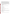montmorillonite and 17% adsorption to Al-saturated montmorillonite was observed. of trichloroethylene adsorbed to two silty clay loams (Koc = 87 and 150). No adsorption to Ca-saturated

 been reported to be on the order of several minutes to hours, depending upon the turbulence. Field The high Henry's Law Constant indicates rapid evaporation from water. Half-lives of evaporation have studies also support rapid evaporation from water. Trichloroethylene is not hydrolyzed by water under normal conditions. It does not adsorb light of less than 290 nm and therefore should not directly photodegrade. However, slow (half-life -l0.7 months) photooxidation in water has been noted.

Trichloroethylene is relatively reactive under smog conditions with 60% degradation in 140 min and 50% degradation in 1 to 3.5 hours reported. Atmospheric residence times based upon reaction with hydroxyl radical is 5 days (6-8) with production of phosgene, dichloroacetyl chloride, and formyl chloride.

 17 to 39 have been reported in bluegill sunfish and rainbow trout. Marine monitoring data only suggest moderate bioconcentration (2-25 times). Bioconcentration factors of

## **Chemical/Physical Properties**

CAS Number: 79-01-6

Color/ Form/Odor: Clear, colorless or blue mobile liquid with sweet chloroform-like odor

M.P.: -73 C B.P.: 87 C

M.P.: -73 C B.P.: 87 C<br>Vapor Pressure: 57.8 mm Hg at 20 C

Density/Spec. Grav.: 1.465 at 20 C

Octanol/Water Partition (Kow): Log Kow = 2.29

Solubilities: 1.0 g/L of water at 25 C

Soil sorption coefficient: Log Koc = 2 for many soil types; high to very high mobility in soil

Bioconcentration Factor: 17 to 39 in fish; moderate.

Odor/Taste Thresholds: N/A

Henry's Law Coefficient: 0.01 atm-cu m/mole

 Benzinol; Chlorilen; CirCosolv; Germalgene; Lethurin; Perm-a-chlor; Petzinol; Philex; TRI-Plus M; Vitran Trade Names/Synonyms: 1,1,2-Trichloroethylene; Acetylene trichloroethylene; Algylen; Anameth;

## **Other Regulatory Information**

Monitoring:

-- For Ground/Surface Water Sources:

Initial Frequency- 4 consecutive quarterly samples during initial compliance period (1993-1995)